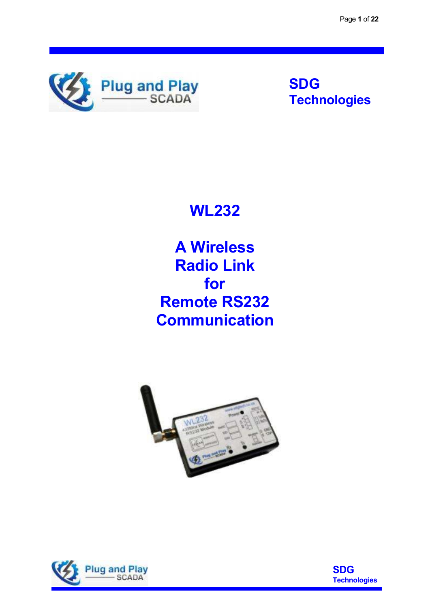

**SDG Technologies**

**WL232** 

**A Wireless Radio Link for Remote RS232 Communication** 





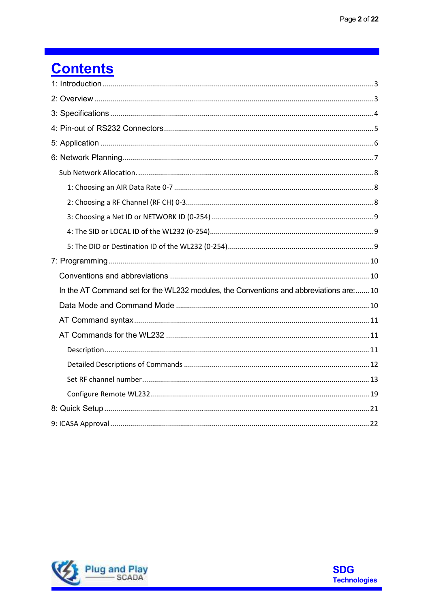# **Contents**

| In the AT Command set for the WL232 modules, the Conventions and abbreviations are:10 |
|---------------------------------------------------------------------------------------|
|                                                                                       |
|                                                                                       |
|                                                                                       |
|                                                                                       |
|                                                                                       |
|                                                                                       |
|                                                                                       |
|                                                                                       |

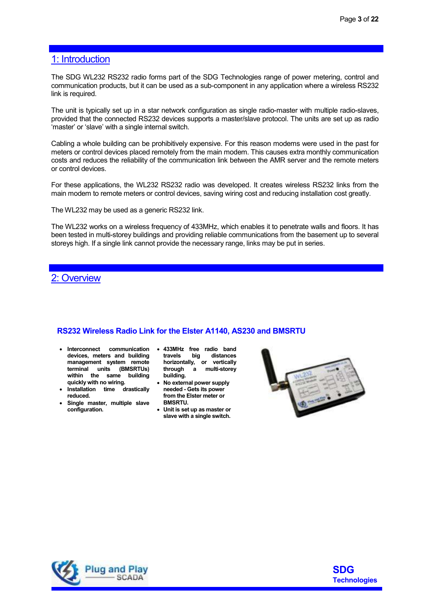## 1: Introduction

The SDG WL232 RS232 radio forms part of the SDG Technologies range of power metering, control and communication products, but it can be used as a sub-component in any application where a wireless RS232 link is required.

The unit is typically set up in a star network configuration as single radio-master with multiple radio-slaves, provided that the connected RS232 devices supports a master/slave protocol. The units are set up as radio 'master' or 'slave' with a single internal switch.

Cabling a whole building can be prohibitively expensive. For this reason modems were used in the past for meters or control devices placed remotely from the main modem. This causes extra monthly communication costs and reduces the reliability of the communication link between the AMR server and the remote meters or control devices.

For these applications, the WL232 RS232 radio was developed. It creates wireless RS232 links from the main modem to remote meters or control devices, saving wiring cost and reducing installation cost greatly.

The WL232 may be used as a generic RS232 link.

The WL232 works on a wireless frequency of 433MHz, which enables it to penetrate walls and floors. It has been tested in multi-storey buildings and providing reliable communications from the basement up to several storeys high. If a single link cannot provide the necessary range, links may be put in series.

# 2: Overview

#### **RS232 Wireless Radio Link for the Elster A1140, AS230 and BMSRTU**

- **Interconnect communication 433MHz free radio band devices, meters and building management system remote terminal units (BMSRTUs) within the same building quickly with no wiring.**
- **Installation time drastically reduced.**
- **Single master, multiple slave configuration.**
- **travels big distances horizontally, or vertically there a** multi-storey **building.**
- **No external power supply needed - Gets its power from the Elster meter or BMSRTU.**
- **Unit is set up as master or slave with a single switch.**





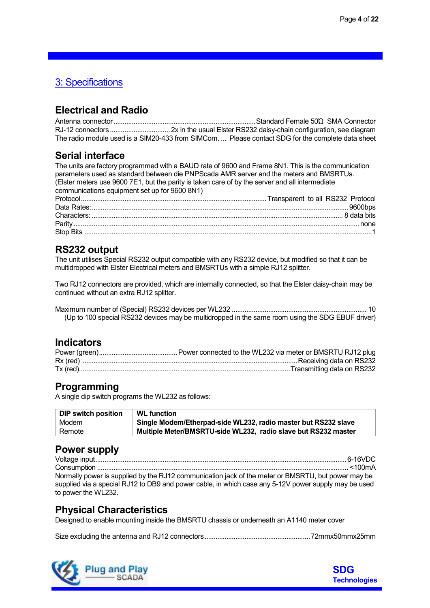# 3: Specifications

# **Electrical and Radio**

Antenna connector .............................................................................. Standard Female 50Ώ SMA Connector RJ-12 connectors ................................. 2x in the usual Elster RS232 daisy-chain configuration, see diagram The radio module used is a SIM20-433 from SIMCom. ... Please contact SDG for the complete data sheet

# **Serial interface**

The units are factory programmed with a BAUD rate of 9600 and Frame 8N1. This is the communication parameters used as standard between die PNPScada AMR server and the meters and BMSRTUs. (Elster meters use 9600 7E1, but the parity is taken care of by the server and all intermediate communications equipment set up for 9600 8N1)

# **RS232 output**

The unit utilises Special RS232 output compatible with any RS232 device, but modified so that it can be multidropped with Elster Electrical meters and BMSRTUs with a simple RJ12 splitter.

Two RJ12 connectors are provided, which are internally connected, so that the Elster daisy-chain may be continued without an extra RJ12 splitter.

Maximum number of (Special) RS232 devices per WL232 .......................................................................... 10 (Up to 100 special RS232 devices may be multidropped in the same room using the SDG EBUF driver)

# **Indicators**

# **Programming**

A single dip switch programs the WL232 as follows:

| DIP switch position | <b>WL</b> function                                             |
|---------------------|----------------------------------------------------------------|
| Modem               | Single Modem/Etherpad-side WL232, radio master but RS232 slave |
| Remote              | Multiple Meter/BMSRTU-side WL232, radio slave but RS232 master |

# **Power supply**

Voltage input .......................................................................................................................................... 6-16VDC Consumption .......................................................................................................................................... <100mA Normally power is supplied by the RJ12 communication jack of the meter or BMSRTU, but power may be supplied via a special RJ12 to DB9 and power cable, in which case any 5-12V power supply may be used to power the WL232.

# **Physical Characteristics**

Designed to enable mounting inside the BMSRTU chassis or underneath an A1140 meter cover

Size excluding the antenna and RJ12 connectors .......................................................... 72mmx50mmx25mm



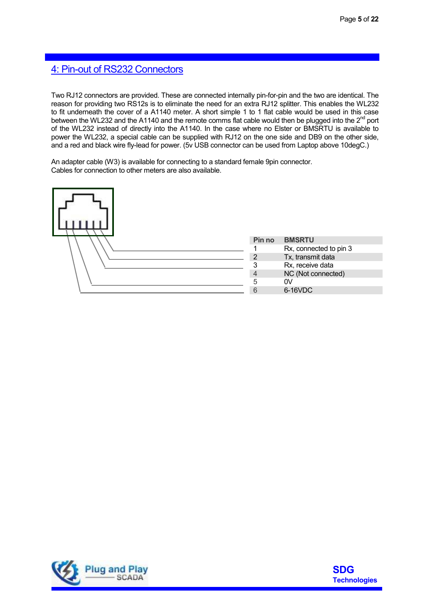# 4: Pin-out of RS232 Connectors

Two RJ12 connectors are provided. These are connected internally pin-for-pin and the two are identical. The reason for providing two RS12s is to eliminate the need for an extra RJ12 splitter. This enables the WL232 to fit underneath the cover of a A1140 meter. A short simple 1 to 1 flat cable would be used in this case between the WL232 and the A1140 and the remote comms flat cable would then be plugged into the 2<sup>nd</sup> port of the WL232 instead of directly into the A1140. In the case where no Elster or BMSRTU is available to power the WL232, a special cable can be supplied with RJ12 on the one side and DB9 on the other side, and a red and black wire fly-lead for power. (5v USB connector can be used from Laptop above 10degC.)

An adapter cable (W3) is available for connecting to a standard female 9pin connector. Cables for connection to other meters are also available.

| Pin no         | <b>BMSRTU</b>          |
|----------------|------------------------|
|                | Rx, connected to pin 3 |
| $\overline{2}$ | Tx, transmit data      |
|                | Rx, receive data       |
| $\overline{4}$ | NC (Not connected)     |
| 5              | 0V                     |
| 6              | 6-16VDC                |
|                |                        |



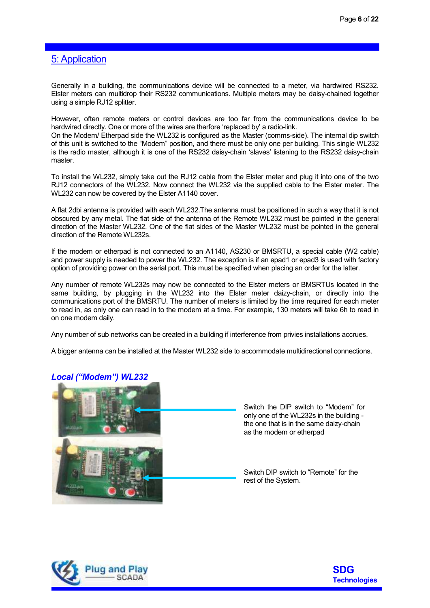# 5: Application

Generally in a building, the communications device will be connected to a meter, via hardwired RS232. Elster meters can multidrop their RS232 communications. Multiple meters may be daisy-chained together using a simple RJ12 splitter.

However, often remote meters or control devices are too far from the communications device to be hardwired directly. One or more of the wires are therfore 'replaced by' a radio-link.

On the Modem/ Etherpad side the WL232 is configured as the Master (comms-side). The internal dip switch of this unit is switched to the "Modem" position, and there must be only one per building. This single WL232 is the radio master, although it is one of the RS232 daisy-chain 'slaves' listening to the RS232 daisy-chain master.

To install the WL232, simply take out the RJ12 cable from the Elster meter and plug it into one of the two RJ12 connectors of the WL232. Now connect the WL232 via the supplied cable to the Elster meter. The WL232 can now be covered by the Elster A1140 cover.

A flat 2dbi antenna is provided with each WL232.The antenna must be positioned in such a way that it is not obscured by any metal. The flat side of the antenna of the Remote WL232 must be pointed in the general direction of the Master WL232. One of the flat sides of the Master WL232 must be pointed in the general direction of the Remote WL232s.

If the modem or etherpad is not connected to an A1140, AS230 or BMSRTU, a special cable (W2 cable) and power supply is needed to power the WL232. The exception is if an epad1 or epad3 is used with factory option of providing power on the serial port. This must be specified when placing an order for the latter.

Any number of remote WL232s may now be connected to the Elster meters or BMSRTUs located in the same building, by plugging in the WL232 into the Elster meter daizy-chain, or directly into the communications port of the BMSRTU. The number of meters is limited by the time required for each meter to read in, as only one can read in to the modem at a time. For example, 130 meters will take 6h to read in on one modem daily.

Any number of sub networks can be created in a building if interference from privies installations accrues.

A bigger antenna can be installed at the Master WL232 side to accommodate multidirectional connections.



*Local ("Modem") WL232* 

Switch the DIP switch to "Modem" for only one of the WL232s in the building the one that is in the same daizy-chain as the modem or etherpad

Switch DIP switch to "Remote" for the rest of the System.



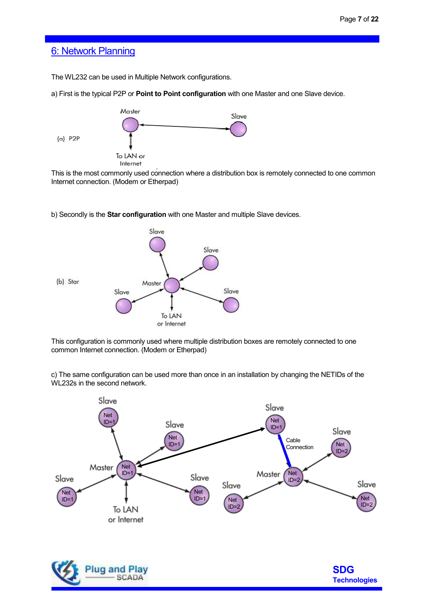## 6: Network Planning

The WL232 can be used in Multiple Network configurations.

a) First is the typical P2P or **Point to Point configuration to**  with one Master and one Slave device.



This is the most commonly used connection where a distribution box is remotely connected to one common<br>Internet connection. (Modem or Etherpad) Internet connection. (Modem or Etherpad)

b) Secondly is the **Star configuration** with one Master and multiple Slave devices.



This configuration is commonly used where multiple distribution boxes are remotely connected to one This configuration is commonly used where multiple<br>common Internet connection. (Modem or Etherpad)

c) The same configuration can be used more than once in an installation by changing the NETIDs of the WL232s in the second network.

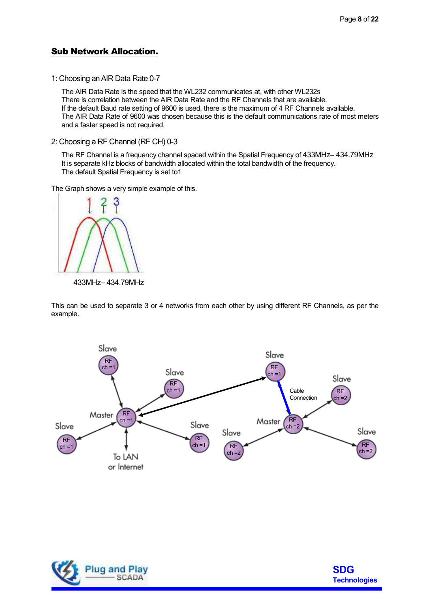#### Sub Network Allocation.

1: Choosing an AIR Data Rate 0-7

The AIR Data Rate is the speed that the WL232 communicates at, with other WL232s There is correlation between the AIR Data Rate and the RF Channels that are available. If the default Baud rate setting of 9600 is used, there is the maximum of 4 RF Channels available. The AIR Data Rate of 9600 was chosen because this is the default communications rate of most meters and a faster speed is not required.

2: Choosing a RF Channel (RF CH) 0-3

The RF Channel is a frequency channel spaced within the Spatial Frequency of 433MHz– 434.79MHz It is separate kHz blocks of bandwidth allocated within the total bandwidth of the frequency. The default Spatial Frequency is set to1

The Graph shows a very simple example of this.



433MHz– 434.79MHz

This can be used to separate 3 or 4 networks from each other by using different RF Channels, as per the example.





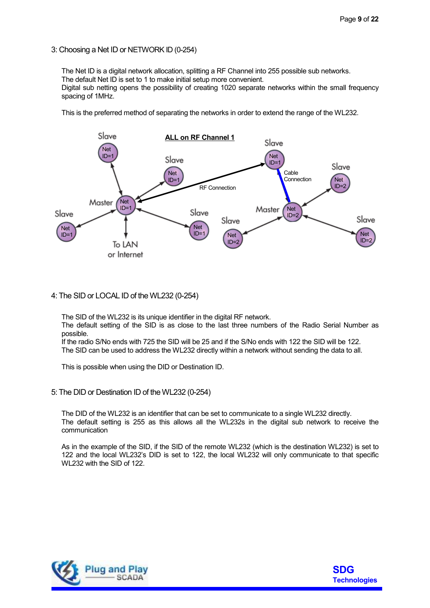3: Choosing a Net ID or NETWORK ID (0-254)

The Net ID is a digital network allocation, splitting a RF Channel into 255 possible sub networks. The default Net ID is set to 1 to make initial setup more convenient.

Digital sub netting opens the possibility of creating 1020 separate networks within the small frequency spacing of 1MHz.

This is the preferred method of separating the networks in order to extend the range of the WL232.



#### 4: The SID or LOCAL ID of the WL232 (0-254)

The SID of the WL232 is its unique identifier in the digital RF network.

The default setting of the SID is as close to the last three numbers of the Radio Serial Number as possible.

If the radio S/No ends with 725 the SID will be 25 and if the S/No ends with 122 the SID will be 122. The SID can be used to address the WL232 directly within a network without sending the data to all.

This is possible when using the DID or Destination ID.

#### 5: The DID or Destination ID of the WL232 (0-254)

The DID of the WL232 is an identifier that can be set to communicate to a single WL232 directly. The default setting is 255 as this allows all the WL232s in the digital sub network to receive the communication

As in the example of the SID, if the SID of the remote WL232 (which is the destination WL232) is set to 122 and the local WL232's DID is set to 122, the local WL232 will only communicate to that specific WL232 with the SID of 122.



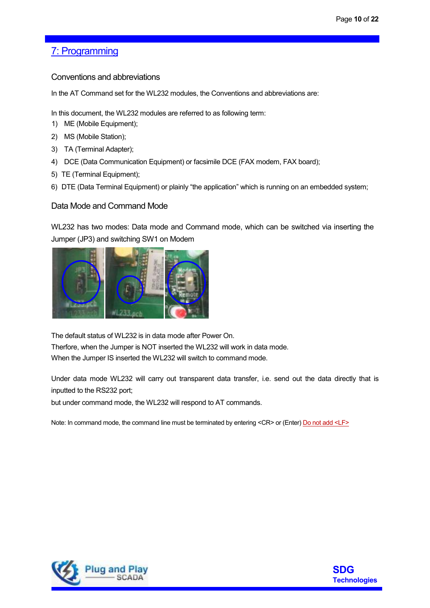# 7: Programming

Conventions and abbreviations

In the AT Command set for the WL232 modules, the Conventions and abbreviations are:

In this document, the WL232 modules are referred to as following term:

- 1) ME (Mobile Equipment);
- 2) MS (Mobile Station);
- 3) TA (Terminal Adapter);
- 4) DCE (Data Communication Equipment) or facsimile DCE (FAX modem, FAX board);
- 5) TE (Terminal Equipment);
- 6) DTE (Data Terminal Equipment) or plainly "the application" which is running on an embedded system;

#### Data Mode and Command Mode

WL232 has two modes: Data mode and Command mode, which can be switched via inserting the Jumper (JP3) and switching SW1 on Modem



The default status of WL232 is in data mode after Power On. Therfore, when the Jumper is NOT inserted the WL232 will work in data mode. When the Jumper IS inserted the WL232 will switch to command mode.

Under data mode WL232 will carry out transparent data transfer, i.e. send out the data directly that is inputted to the RS232 port;

but under command mode, the WL232 will respond to AT commands.

Note: In command mode, the command line must be terminated by entering <CR> or (Enter) Do not add <LF>



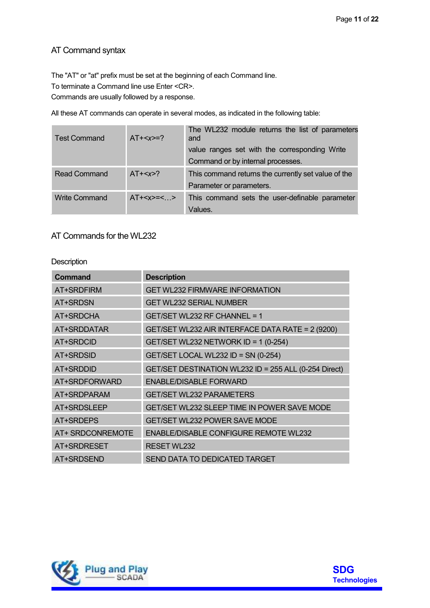# AT Command syntax

The "AT" or "at" prefix must be set at the beginning of each Command line.

To terminate a Command line use Enter <CR>.

Commands are usually followed by a response.

All these AT commands can operate in several modes, as indicated in the following table:

| <b>Test Command</b>  | $AT + < x > = ?$ | The WL232 module returns the list of parameters<br>and<br>value ranges set with the corresponding Write<br>Command or by internal processes. |
|----------------------|------------------|----------------------------------------------------------------------------------------------------------------------------------------------|
| <b>Read Command</b>  | $AT+2$           | This command returns the currently set value of the<br>Parameter or parameters.                                                              |
| <b>Write Command</b> | $AT+=<$          | This command sets the user-definable parameter<br>Values.                                                                                    |

### AT Commands for the WL232

#### **Description**

| Command          | <b>Description</b>                                    |
|------------------|-------------------------------------------------------|
| AT+SRDFIRM       | <b>GET WL232 FIRMWARE INFORMATION</b>                 |
| AT+SRDSN         | <b>GET WL232 SERIAL NUMBER</b>                        |
| AT+SRDCHA        | GET/SET WL232 RF CHANNEL = 1                          |
| AT+SRDDATAR      | GET/SET WL232 AIR INTERFACE DATA RATE = 2 (9200)      |
| AT+SRDCID        | GET/SET WL232 NETWORK ID = 1 (0-254)                  |
| <b>AT+SRDSID</b> | GET/SET LOCAL WL232 ID = SN (0-254)                   |
| AT+SRDDID        | GET/SET DESTINATION WL232 ID = 255 ALL (0-254 Direct) |
| AT+SRDFORWARD    | <b>ENABLE/DISABLE FORWARD</b>                         |
| AT+SRDPARAM      | <b>GET/SET WL232 PARAMETERS</b>                       |
| AT+SRDSLEEP      | GET/SET WL232 SLEEP TIME IN POWER SAVE MODE           |
| AT+SRDEPS        | GET/SET WL232 POWER SAVE MODE                         |
| AT+ SRDCONREMOTE | <b>ENABLE/DISABLE CONFIGURE REMOTE WL232</b>          |
| AT+SRDRESET      | <b>RESET WL232</b>                                    |
| AT+SRDSEND       | SEND DATA TO DEDICATED TARGET                         |



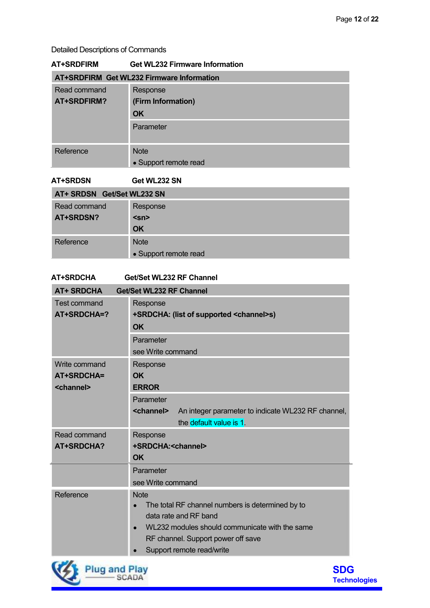#### Detailed Descriptions of Commands

| AT+SRDFIRM                                       | <b>Get WL232 Firmware Information</b> |  |  |  |
|--------------------------------------------------|---------------------------------------|--|--|--|
| <b>AT+SRDFIRM Get WL232 Firmware Information</b> |                                       |  |  |  |
| Read command                                     | Response                              |  |  |  |
| AT+SRDFIRM?                                      | (Firm Information)                    |  |  |  |
|                                                  | <b>OK</b>                             |  |  |  |
|                                                  | Parameter                             |  |  |  |
| Reference                                        | <b>Note</b><br>• Support remote read  |  |  |  |

#### **AT+SRDSN Get WL232 SN**

| AT+ SRDSN Get/Set WL232 SN |                       |  |  |
|----------------------------|-----------------------|--|--|
| Read command               | Response              |  |  |
| AT+SRDSN?                  | $<$ sn>               |  |  |
|                            | <b>OK</b>             |  |  |
| Reference                  | <b>Note</b>           |  |  |
|                            | • Support remote read |  |  |

# **AT+SRDCHA Get/Set WL232 RF Channel AT+ SRDCHA Get/Set WL232 RF Channel** Test command Response **AT+SRDCHA=? +SRDCHA: (list of supported <channel>s) OK**Parameter see Write commandWrite command Response **AT+SRDCHA= OK <channel> ERROR**Parameter **<channel>** An integer parameter to indicate WL232 RF channel, the default value is 1. Read command Response **AT+SRDCHA? +SRDCHA:<channel> OK** Parameter see Write command Reference Note • The total RF channel numbers is determined by to data rate and RF band • WL232 modules should communicate with the same RF channel. Support power off save Support remote read/write



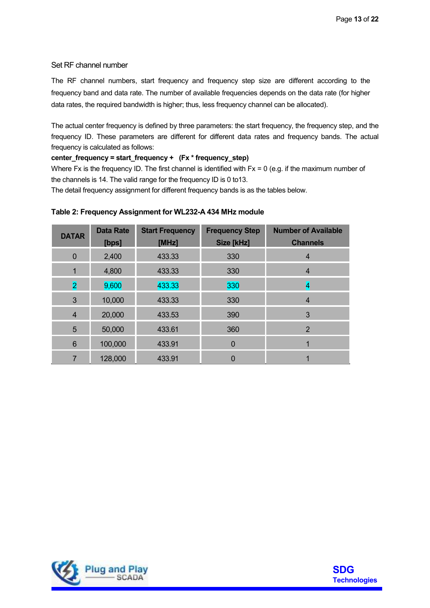#### Set RF channel number

The RF channel numbers, start frequency and frequency step size are different according to the frequency band and data rate. The number of available frequencies depends on the data rate (for higher data rates, the required bandwidth is higher; thus, less frequency channel can be allocated).

The actual center frequency is defined by three parameters: the start frequency, the frequency step, and the frequency ID. These parameters are different for different data rates and frequency bands. The actual frequency is calculated as follows:

#### **center\_frequency = start\_frequency + (Fx \* frequency\_step)**

Where Fx is the frequency ID. The first channel is identified with Fx = 0 (e.g. if the maximum number of the channels is 14. The valid range for the frequency ID is 0 to13.

The detail frequency assignment for different frequency bands is as the tables below.

#### **Table 2: Frequency Assignment for WL232-A 434 MHz module**

| <b>DATAR</b>            | <b>Data Rate</b> | <b>Start Frequency</b><br>[MHz] | <b>Frequency Step</b><br>Size [kHz] | <b>Number of Available</b><br><b>Channels</b> |
|-------------------------|------------------|---------------------------------|-------------------------------------|-----------------------------------------------|
|                         | [bps]            |                                 |                                     |                                               |
| $\overline{0}$          | 2,400            | 433.33                          | 330                                 | 4                                             |
| 1                       | 4,800            | 433.33                          | 330                                 | 4                                             |
| $\overline{\mathbf{2}}$ | 9,600            | 433.33                          | 330                                 | 4                                             |
| 3                       | 10,000           | 433.33                          | 330                                 | $\overline{4}$                                |
| $\overline{4}$          | 20,000           | 433.53                          | 390                                 | 3                                             |
| 5                       | 50,000           | 433.61                          | 360                                 | $\overline{2}$                                |
| 6                       | 100,000          | 433.91                          | $\mathbf 0$                         |                                               |
| 7                       | 128,000          | 433.91                          | 0                                   |                                               |



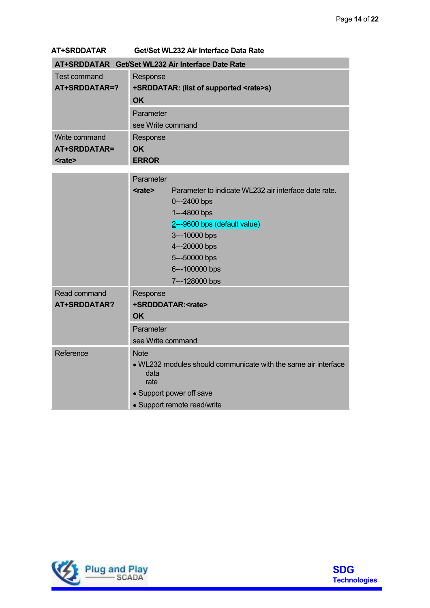#### **AT+SRDDATAR Get/Set WL232 Air Interface Data Rate**

| AT+SRDDATAR Get/Set WL232 Air Interface Date Rate |                                               |  |  |  |
|---------------------------------------------------|-----------------------------------------------|--|--|--|
| Test command                                      | Response                                      |  |  |  |
| AT+SRDDATAR=?                                     | +SRDDATAR: (list of supported <rate>s)</rate> |  |  |  |
|                                                   | <b>OK</b>                                     |  |  |  |
|                                                   | Parameter                                     |  |  |  |
|                                                   | see Write command                             |  |  |  |
| Write command                                     | Response                                      |  |  |  |
| AT+SRDDATAR=                                      | OK.                                           |  |  |  |
| <rate></rate>                                     | <b>ERROR</b>                                  |  |  |  |

|                                          | Parameter                             |                                                                                                                                                                                                               |
|------------------------------------------|---------------------------------------|---------------------------------------------------------------------------------------------------------------------------------------------------------------------------------------------------------------|
|                                          | <rate></rate>                         | Parameter to indicate WL232 air interface date rate.<br>$0 - 2400$ bps<br>1---4800 bps<br>2---9600 bps (default value)<br>3---10000 bps<br>4---20000 bps<br>5---50000 bps<br>6---100000 bps<br>7---128000 bps |
| Read command<br>AT+SRDDATAR?             | Response<br>+SRDDDATAR: <rate></rate> |                                                                                                                                                                                                               |
|                                          | <b>OK</b>                             |                                                                                                                                                                                                               |
|                                          | Parameter<br>see Write command        |                                                                                                                                                                                                               |
| Reference<br><b>Note</b><br>data<br>rate |                                       | • WL232 modules should communicate with the same air interface                                                                                                                                                |
|                                          | • Support power off save              |                                                                                                                                                                                                               |
|                                          | • Support remote read/write           |                                                                                                                                                                                                               |



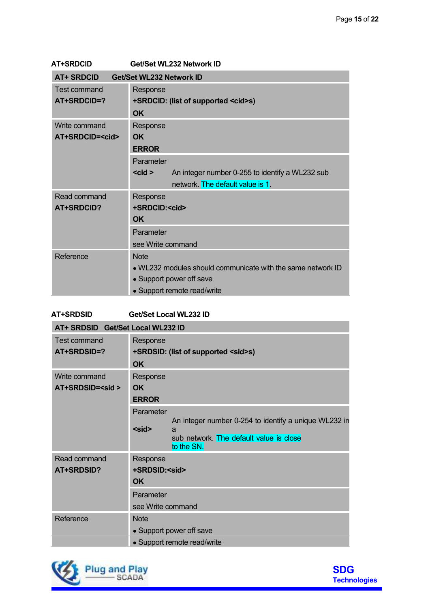| AT+SRDCID | Get/Set WL232 Network ID |
|-----------|--------------------------|
|           |                          |

| <b>AT+ SRDCID</b>      | Get/Set WL232 Network ID                                       |  |  |
|------------------------|----------------------------------------------------------------|--|--|
| Test command           | Response                                                       |  |  |
| AT+SRDCID=?            | +SRDCID: (list of supported <cid>s)</cid>                      |  |  |
|                        | <b>OK</b>                                                      |  |  |
| Write command          | Response                                                       |  |  |
| AT+SRDCID= <cid></cid> | <b>OK</b>                                                      |  |  |
|                        | <b>ERROR</b>                                                   |  |  |
|                        | Parameter                                                      |  |  |
|                        | $<$ cid $>$<br>An integer number 0-255 to identify a WL232 sub |  |  |
|                        | network. The default value is 1.                               |  |  |
| Read command           | Response                                                       |  |  |
| <b>AT+SRDCID?</b>      | +SRDCID: <cid></cid>                                           |  |  |
|                        | <b>OK</b>                                                      |  |  |
|                        | Parameter                                                      |  |  |
|                        | see Write command                                              |  |  |
| Reference              | <b>Note</b>                                                    |  |  |
|                        | . WL232 modules should communicate with the same network ID    |  |  |
|                        | • Support power off save                                       |  |  |
|                        | • Support remote read/write                                    |  |  |

# **AT+SRDSID Get/Set Local WL232 ID**

| AT+ SRDSID Get/Set Local WL232 ID       |                                                                                                                                                 |
|-----------------------------------------|-------------------------------------------------------------------------------------------------------------------------------------------------|
| Test command<br>AT+SRDSID=?             | Response<br>+SRDSID: (list of supported <sid>s)<br/><b>OK</b></sid>                                                                             |
| Write command<br>AT+SRDSID= <sid></sid> | Response<br><b>OK</b><br><b>ERROR</b>                                                                                                           |
|                                         | Parameter<br>An integer number 0-254 to identify a unique WL232 in<br>$<$ sid $>$<br>a<br>sub network. The default value is close<br>to the SN. |
| Read command<br>AT+SRDSID?              | Response<br>+SRDSID: <sid><br/><b>OK</b><br/>Parameter</sid>                                                                                    |
| Reference                               | see Write command<br><b>Note</b><br>• Support power off save<br>• Support remote read/write                                                     |



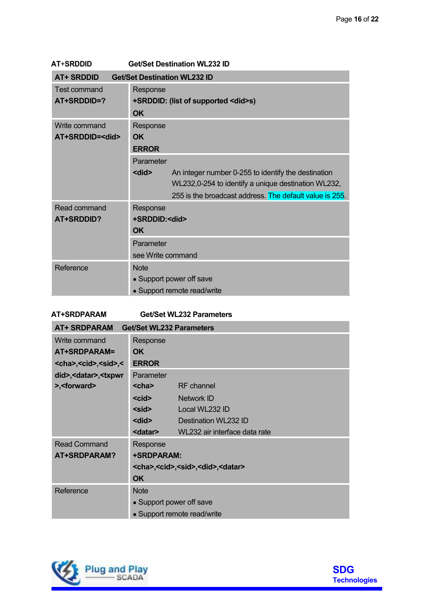| <b>AT+SRDDID</b>       | <b>Get/Set Destination WL232 ID</b>                                 |  |  |
|------------------------|---------------------------------------------------------------------|--|--|
| <b>AT+ SRDDID</b>      | <b>Get/Set Destination WL232 ID</b>                                 |  |  |
| <b>Test command</b>    | Response                                                            |  |  |
| AT+SRDDID=?            | +SRDDID: (list of supported <did>s)</did>                           |  |  |
|                        | <b>OK</b>                                                           |  |  |
| Write command          | Response                                                            |  |  |
| AT+SRDDID= <did></did> | <b>OK</b>                                                           |  |  |
|                        | <b>ERROR</b>                                                        |  |  |
|                        | Parameter                                                           |  |  |
|                        | <did><br/>An integer number 0-255 to identify the destination</did> |  |  |
|                        | WL232,0-254 to identify a unique destination WL232,                 |  |  |
|                        | 255 is the broadcast address. The default value is 255.             |  |  |
| Read command           | Response                                                            |  |  |
| <b>AT+SRDDID?</b>      | +SRDDID: <did></did>                                                |  |  |
|                        | <b>OK</b>                                                           |  |  |
|                        | Parameter                                                           |  |  |
|                        | see Write command                                                   |  |  |
| Reference              | <b>Note</b>                                                         |  |  |
|                        | • Support power off save                                            |  |  |
|                        | • Support remote read/write                                         |  |  |

#### **AT+SRDPARAM Get/Set WL232 Parameters**

| <b>AT+ SRDPARAM</b>                                                      | <b>Get/Set WL232 Parameters</b>                                 |                               |  |
|--------------------------------------------------------------------------|-----------------------------------------------------------------|-------------------------------|--|
| Write command                                                            | Response                                                        |                               |  |
| AT+SRDPARAM=                                                             | <b>OK</b>                                                       |                               |  |
| <cha>,<cid>,<sid>,&lt;</sid></cid></cha>                                 | <b>ERROR</b>                                                    |                               |  |
| did>, <datar>,<txpwr< th=""><th>Parameter</th><th></th></txpwr<></datar> | Parameter                                                       |                               |  |
| >, <forward></forward>                                                   | $<$ cha $>$                                                     | RF channel                    |  |
|                                                                          | $<$ cid $>$                                                     | Network ID                    |  |
|                                                                          | $<$ sid $>$                                                     | Local WL232 ID                |  |
|                                                                          | <did></did>                                                     | Destination WL232 ID          |  |
|                                                                          | <datar></datar>                                                 | WL232 air interface data rate |  |
| <b>Read Command</b>                                                      | Response                                                        |                               |  |
| AT+SRDPARAM?                                                             | +SRDPARAM:                                                      |                               |  |
|                                                                          | <cha>,<cid>,<sid>,<did>,<datar></datar></did></sid></cid></cha> |                               |  |
|                                                                          | <b>OK</b>                                                       |                               |  |
| Reference                                                                | <b>Note</b>                                                     |                               |  |
|                                                                          | • Support power off save                                        |                               |  |
|                                                                          |                                                                 | • Support remote read/write   |  |



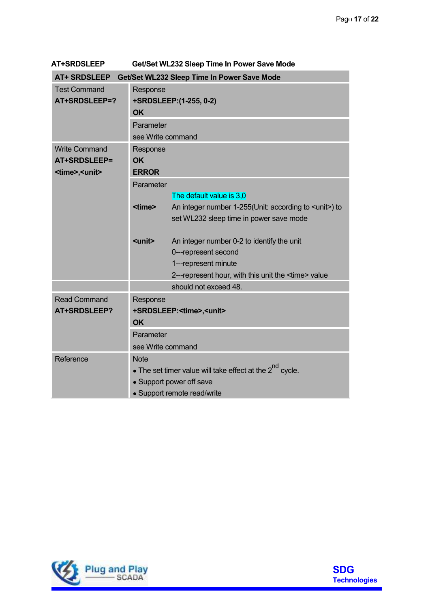| <b>AT+SRDSLEEP</b>          | Get/Set WL232 Sleep Time In Power Save Mode                   |                                                              |  |  |  |
|-----------------------------|---------------------------------------------------------------|--------------------------------------------------------------|--|--|--|
| <b>AT+ SRDSLEEP</b>         |                                                               | Get/Set WL232 Sleep Time In Power Save Mode                  |  |  |  |
| <b>Test Command</b>         | Response                                                      |                                                              |  |  |  |
| AT+SRDSLEEP=?               | +SRDSLEEP: (1-255, 0-2)                                       |                                                              |  |  |  |
|                             | <b>OK</b>                                                     |                                                              |  |  |  |
|                             | Parameter                                                     |                                                              |  |  |  |
|                             | see Write command                                             |                                                              |  |  |  |
| <b>Write Command</b>        | Response                                                      |                                                              |  |  |  |
| AT+SRDSLEEP=                | <b>OK</b>                                                     |                                                              |  |  |  |
| <time>,<unit></unit></time> | <b>ERROR</b>                                                  |                                                              |  |  |  |
|                             | Parameter                                                     |                                                              |  |  |  |
|                             |                                                               | The default value is 3,0                                     |  |  |  |
|                             | <time></time>                                                 | An integer number 1-255(Unit: according to <unit>) to</unit> |  |  |  |
|                             |                                                               | set WL232 sleep time in power save mode                      |  |  |  |
|                             |                                                               |                                                              |  |  |  |
|                             | <unit></unit>                                                 | An integer number 0-2 to identify the unit                   |  |  |  |
|                             |                                                               | 0---represent second                                         |  |  |  |
|                             |                                                               | 1---represent minute                                         |  |  |  |
|                             |                                                               | 2---represent hour, with this unit the <time> value</time>   |  |  |  |
|                             |                                                               | should not exceed 48.                                        |  |  |  |
| <b>Read Command</b>         | Response                                                      |                                                              |  |  |  |
| AT+SRDSLEEP?                |                                                               | +SRDSLEEP: <time>,<unit></unit></time>                       |  |  |  |
|                             | <b>OK</b>                                                     |                                                              |  |  |  |
|                             | Parameter                                                     |                                                              |  |  |  |
|                             | see Write command                                             |                                                              |  |  |  |
| Reference                   | <b>Note</b>                                                   |                                                              |  |  |  |
|                             | • The set timer value will take effect at the $2^{nd}$ cycle. |                                                              |  |  |  |
|                             | • Support power off save                                      |                                                              |  |  |  |
|                             | • Support remote read/write                                   |                                                              |  |  |  |
|                             |                                                               |                                                              |  |  |  |



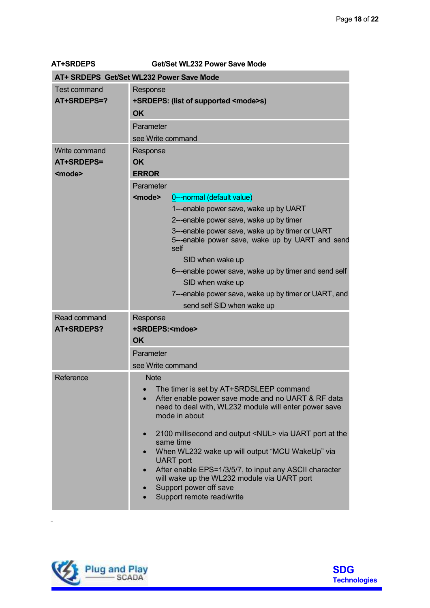| <b>AT+SRDEPS</b>                             | Get/Set WL232 Power Save Mode                                                                                                                                                                                                                                                                                                                                                                                                                                                                                                                                                                 |  |  |
|----------------------------------------------|-----------------------------------------------------------------------------------------------------------------------------------------------------------------------------------------------------------------------------------------------------------------------------------------------------------------------------------------------------------------------------------------------------------------------------------------------------------------------------------------------------------------------------------------------------------------------------------------------|--|--|
| AT+ SRDEPS Get/Set WL232 Power Save Mode     |                                                                                                                                                                                                                                                                                                                                                                                                                                                                                                                                                                                               |  |  |
| <b>Test command</b><br>AT+SRDEPS=?           | Response<br>+SRDEPS: (list of supported <mode>s)<br/><b>OK</b><br/>Parameter<br/>see Write command</mode>                                                                                                                                                                                                                                                                                                                                                                                                                                                                                     |  |  |
| Write command<br>AT+SRDEPS=<br><mode></mode> | Response<br><b>OK</b><br><b>ERROR</b>                                                                                                                                                                                                                                                                                                                                                                                                                                                                                                                                                         |  |  |
|                                              | Parameter<br><mode><br/>0----normal (default value)<br/>1---enable power save, wake up by UART<br/>2---enable power save, wake up by timer<br/>3---enable power save, wake up by timer or UART<br/>5---enable power save, wake up by UART and send<br/>self<br/>SID when wake up<br/>6---enable power save, wake up by timer and send self<br/>SID when wake up<br/>7---enable power save, wake up by timer or UART, and<br/>send self SID when wake up</mode>                                                                                                                                |  |  |
| Read command<br><b>AT+SRDEPS?</b>            | Response<br>+SRDEPS: <mdoe><br/><b>OK</b><br/>Parameter<br/>see Write command</mdoe>                                                                                                                                                                                                                                                                                                                                                                                                                                                                                                          |  |  |
| Reference                                    | <b>Note</b><br>The timer is set by AT+SRDSLEEP command<br>$\bullet$<br>After enable power save mode and no UART & RF data<br>$\bullet$<br>need to deal with, WL232 module will enter power save<br>mode in about<br>2100 millisecond and output <nul> via UART port at the<br/><math>\bullet</math><br/>same time<br/>When WL232 wake up will output "MCU WakeUp" via<br/><b>UART</b> port<br/>After enable EPS=1/3/5/7, to input any ASCII character<br/><math>\bullet</math><br/>will wake up the WL232 module via UART port<br/>Support power off save<br/>Support remote read/write</nul> |  |  |



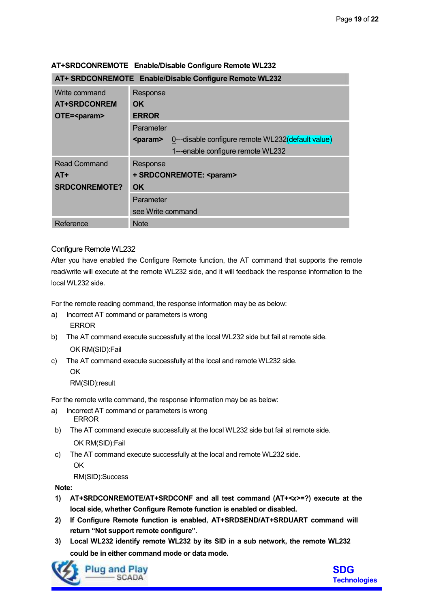| AT+ SRDCONREMOTE Enable/Disable Configure Remote WL232 |                                                               |  |  |
|--------------------------------------------------------|---------------------------------------------------------------|--|--|
| Write command                                          | Response                                                      |  |  |
| <b>AT+SRDCONREM</b>                                    | OK.                                                           |  |  |
| OTE= <param/>                                          | <b>ERROR</b>                                                  |  |  |
|                                                        | Parameter                                                     |  |  |
|                                                        | 0---disable configure remote WL232(default value)<br><param/> |  |  |
|                                                        | 1---enable configure remote WL232                             |  |  |
| <b>Read Command</b>                                    | Response                                                      |  |  |
| $AT+$                                                  | + SRDCONREMOTE: <param/>                                      |  |  |
| <b>SRDCONREMOTE?</b>                                   | <b>OK</b>                                                     |  |  |
|                                                        | Parameter                                                     |  |  |
|                                                        | see Write command                                             |  |  |
| Reference                                              | <b>Note</b>                                                   |  |  |

#### **AT+SRDCONREMOTE Enable/Disable Configure Remote WL232**

#### Configure Remote WL232

After you have enabled the Configure Remote function, the AT command that supports the remote read/write will execute at the remote WL232 side, and it will feedback the response information to the local WL232 side.

For the remote reading command, the response information may be as below:

- a) Incorrect AT command or parameters is wrong ERROR
- b) The AT command execute successfully at the local WL232 side but fail at remote side. OK RM(SID):Fail
- c) The AT command execute successfully at the local and remote WL232 side.

OK

RM(SID):result

For the remote write command, the response information may be as below:

- a) Incorrect AT command or parameters is wrong ERROR
- b) The AT command execute successfully at the local WL232 side but fail at remote side. OK RM(SID):Fail
- c) The AT command execute successfully at the local and remote WL232 side. **OK**

RM(SID):Success

#### **Note:**

- **1) AT+SRDCONREMOTE/AT+SRDCONF and all test command (AT+***<x>***=?) execute at the local side, whether Configure Remote function is enabled or disabled.**
- **2) If Configure Remote function is enabled, AT+SRDSEND/AT+SRDUART command will return "Not support remote configure".**
- **3) Local WL232 identify remote WL232 by its SID in a sub network, the remote WL232 could be in either command mode or data mode.**



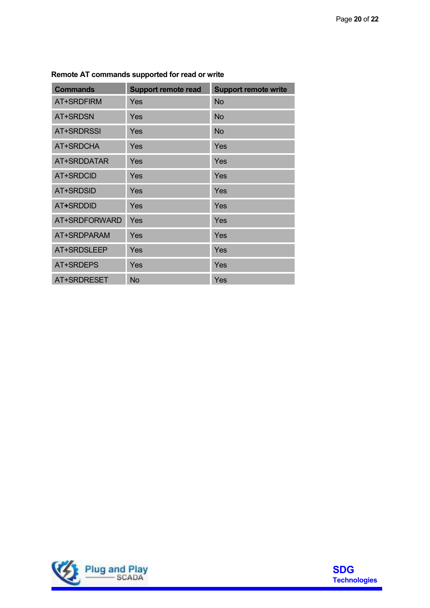| <b>Commands</b>   | <b>Support remote read</b> | <b>Support remote write</b> |
|-------------------|----------------------------|-----------------------------|
| AT+SRDFIRM        | Yes                        | <b>No</b>                   |
| AT+SRDSN          | Yes                        | <b>No</b>                   |
| <b>AT+SRDRSSI</b> | <b>Yes</b>                 | <b>No</b>                   |
| AT+SRDCHA         | <b>Yes</b>                 | Yes                         |
| AT+SRDDATAR       | Yes                        | Yes                         |
| <b>AT+SRDCID</b>  | Yes                        | Yes                         |
| <b>AT+SRDSID</b>  | Yes                        | Yes                         |
| <b>AT+SRDDID</b>  | Yes                        | Yes                         |
| AT+SRDFORWARD     | Yes                        | Yes                         |
| AT+SRDPARAM       | Yes                        | Yes                         |
| AT+SRDSLEEP       | Yes                        | Yes                         |
| AT+SRDEPS         | Yes                        | Yes                         |
| AT+SRDRESET       | <b>No</b>                  | Yes                         |

#### **Remote AT commands supported for read or write**



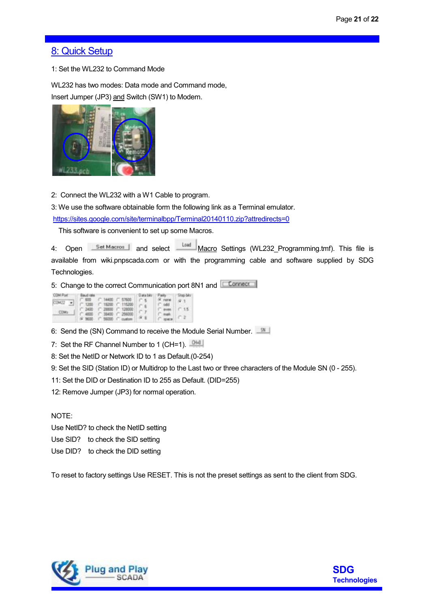# 8: Quick Setup

1: Set the WL232 to Command Mode

WL232 has two modes: Data mode and Command mode, Insert Jumper (JP3) and Switch (SW1) to Modem.



2: Connect the WL232 with a W1 Cable to program.

3: We use the software obtainable form the following link as a Terminal emulator.

https://sites.google.com/site/terminalbpp/Terminal20140110.zip?attredirects=0

This software is convenient to set up some Macros.

4: Open **Set Macros** and select **Macro Settings (WL232\_Programming.tmf)**. This file is available from wiki.pnpscada.com or with the programming cable and software supplied by SDG Technologies.

5: Change to the correct Communication port 8N1 and C Connect

| <b>COM PIM</b> | <b>Baked roke -</b>                                 | Data bas  | <b>FORM IT!</b>       | T STUD DET |
|----------------|-----------------------------------------------------|-----------|-----------------------|------------|
| COM22 =        | C 600 C 14400 C 57600<br>("1200 ("19200 ("115200)   | <b>CK</b> | * rawa<br>$T - 0.001$ |            |
| COM            | (" 2400 (" 21100 (" 121000)                         |           | C. month              | C.15       |
|                | ○ 4800 ○ 38400 ○ 254000<br>(# 9600 C 56000 C custom |           | C. mak<br>C. MARIN'   | 122        |

6: Send the (SN) Command to receive the Module Serial Number.

7: Set the RF Channel Number to 1 (CH=1).  $0+0$ 

8: Set the NetID or Network ID to 1 as Default.(0-254)

9: Set the SID (Station ID) or Multidrop to the Last two or three characters of the Module SN (0 - 255).

11: Set the DID or Destination ID to 255 as Default. (DID=255)

12: Remove Jumper (JP3) for normal operation.

#### NOTE:

Use NetID? to check the NetID setting

Use SID? to check the SID setting

Use DID? to check the DID setting

To reset to factory settings Use RESET. This is not the preset settings as sent to the client from SDG.